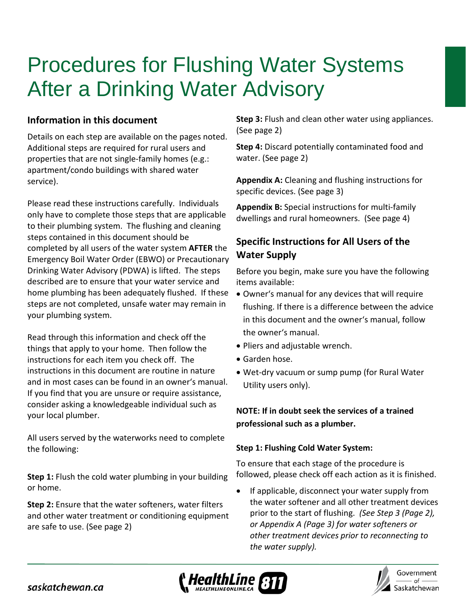# Procedures for Flushing Water Systems After a Drinking Water Advisory

## **Information in this document**

Details on each step are available on the pages noted. Additional steps are required for rural users and properties that are not single-family homes (e.g.: apartment/condo buildings with shared water service).

Please read these instructions carefully. Individuals only have to complete those steps that are applicable to their plumbing system. The flushing and cleaning steps contained in this document should be completed by all users of the water system **AFTER** the Emergency Boil Water Order (EBWO) or Precautionary Drinking Water Advisory (PDWA) is lifted. The steps described are to ensure that your water service and home plumbing has been adequately flushed. If these steps are not completed, unsafe water may remain in your plumbing system.

Read through this information and check off the things that apply to your home. Then follow the instructions for each item you check off. The instructions in this document are routine in nature and in most cases can be found in an owner's manual. If you find that you are unsure or require assistance, consider asking a knowledgeable individual such as your local plumber.

All users served by the waterworks need to complete the following:

**Step 1:** Flush the cold water plumbing in your building or home.

**Step 2:** Ensure that the water softeners, water filters and other water treatment or conditioning equipment are safe to use. (See page 2)

**Step 3:** Flush and clean other water using appliances. (See page 2)

**Step 4:** Discard potentially contaminated food and water. (See page 2)

**Appendix A:** Cleaning and flushing instructions for specific devices. (See page 3)

**Appendix B:** Special instructions for multi-family dwellings and rural homeowners. (See page 4)

# **Specific Instructions for All Users of the Water Supply**

Before you begin, make sure you have the following items available:

- Owner's manual for any devices that will require flushing. If there is a difference between the advice in this document and the owner's manual, follow the owner's manual.
- Pliers and adjustable wrench.
- Garden hose.
- Wet-dry vacuum or sump pump (for Rural Water Utility users only).

## **NOTE: If in doubt seek the services of a trained professional such as a plumber.**

#### **Step 1: Flushing Cold Water System:**

To ensure that each stage of the procedure is followed, please check off each action as it is finished.

If applicable, disconnect your water supply from the water softener and all other treatment devices prior to the start of flushing. *(See Step 3 (Page 2), or Appendix A (Page 3) for water softeners or other treatment devices prior to reconnecting to the water supply).* 





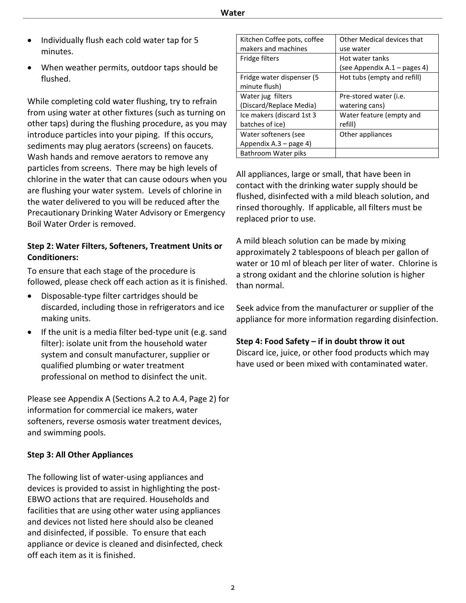- Individually flush each cold water tap for 5 minutes.
- When weather permits, outdoor taps should be flushed.

While completing cold water flushing, try to refrain from using water at other fixtures (such as turning on other taps) during the flushing procedure, as you may introduce particles into your piping. If this occurs, sediments may plug aerators (screens) on faucets. Wash hands and remove aerators to remove any particles from screens. There may be high levels of chlorine in the water that can cause odours when you are flushing your water system. Levels of chlorine in the water delivered to you will be reduced after the Precautionary Drinking Water Advisory or Emergency Boil Water Order is removed.

#### **Step 2: Water Filters, Softeners, Treatment Units or Conditioners:**

To ensure that each stage of the procedure is followed, please check off each action as it is finished.

- Disposable-type filter cartridges should be discarded, including those in refrigerators and ice making units.
- If the unit is a media filter bed-type unit (e.g. sand filter): isolate unit from the household water system and consult manufacturer, supplier or qualified plumbing or water treatment professional on method to disinfect the unit.

Please see Appendix A (Sections A.2 to A.4, Page 2) for information for commercial ice makers, water softeners, reverse osmosis water treatment devices, and swimming pools.

#### **Step 3: All Other Appliances**

The following list of water-using appliances and devices is provided to assist in highlighting the post-EBWO actions that are required. Households and facilities that are using other water using appliances and devices not listed here should also be cleaned and disinfected, if possible. To ensure that each appliance or device is cleaned and disinfected, check off each item as it is finished.

| Kitchen Coffee pots, coffee | Other Medical devices that     |
|-----------------------------|--------------------------------|
| makers and machines         | use water                      |
| Fridge filters              | Hot water tanks                |
|                             | (see Appendix A.1 – pages 4)   |
| Fridge water dispenser (5)  | Hot tubs (empty and refill)    |
| minute flush)               |                                |
| Water jug filters           | Pre-stored water ( <i>i.e.</i> |
| (Discard/Replace Media)     | watering cans)                 |
| Ice makers (discard 1st 3   | Water feature (empty and       |
| batches of ice)             | refill)                        |
| Water softeners (see        | Other appliances               |
| Appendix A.3 – page 4)      |                                |
| Bathroom Water piks         |                                |
|                             |                                |

All appliances, large or small, that have been in contact with the drinking water supply should be flushed, disinfected with a mild bleach solution, and rinsed thoroughly. If applicable, all filters must be replaced prior to use.

A mild bleach solution can be made by mixing approximately 2 tablespoons of bleach per gallon of water or 10 ml of bleach per liter of water. Chlorine is a strong oxidant and the chlorine solution is higher than normal.

Seek advice from the manufacturer or supplier of the appliance for more information regarding disinfection.

#### **Step 4: Food Safety – if in doubt throw it out**

Discard ice, juice, or other food products which may have used or been mixed with contaminated water.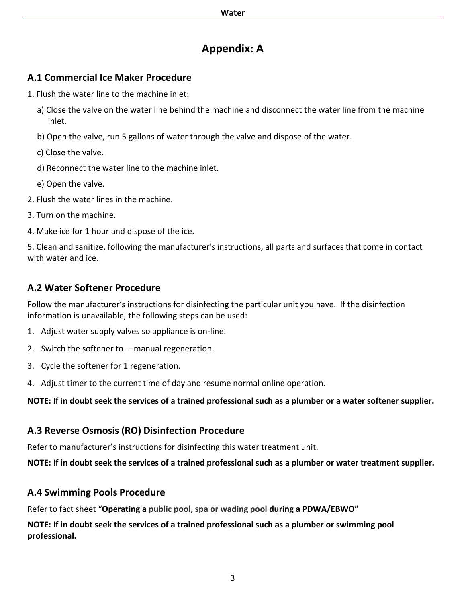# **Appendix: A**

#### **A.1 Commercial Ice Maker Procedure**

- 1. Flush the water line to the machine inlet:
	- a) Close the valve on the water line behind the machine and disconnect the water line from the machine inlet.
	- b) Open the valve, run 5 gallons of water through the valve and dispose of the water.
	- c) Close the valve.
	- d) Reconnect the water line to the machine inlet.
	- e) Open the valve.
- 2. Flush the water lines in the machine.
- 3. Turn on the machine.
- 4. Make ice for 1 hour and dispose of the ice.

5. Clean and sanitize, following the manufacturer's instructions, all parts and surfaces that come in contact with water and ice.

## **A.2 Water Softener Procedure**

Follow the manufacturer's instructions for disinfecting the particular unit you have. If the disinfection information is unavailable, the following steps can be used:

- 1. Adjust water supply valves so appliance is on-line.
- 2. Switch the softener to ―manual regeneration.
- 3. Cycle the softener for 1 regeneration.
- 4. Adjust timer to the current time of day and resume normal online operation.

**NOTE: If in doubt seek the services of a trained professional such as a plumber or a water softener supplier.** 

## **A.3 Reverse Osmosis (RO) Disinfection Procedure**

Refer to manufacturer's instructions for disinfecting this water treatment unit.

**NOTE: If in doubt seek the services of a trained professional such as a plumber or water treatment supplier.** 

#### **A.4 Swimming Pools Procedure**

Refer to fact sheet "**Operating a public pool, spa or wading pool during a PDWA/EBWO"**

**NOTE: If in doubt seek the services of a trained professional such as a plumber or swimming pool professional.**